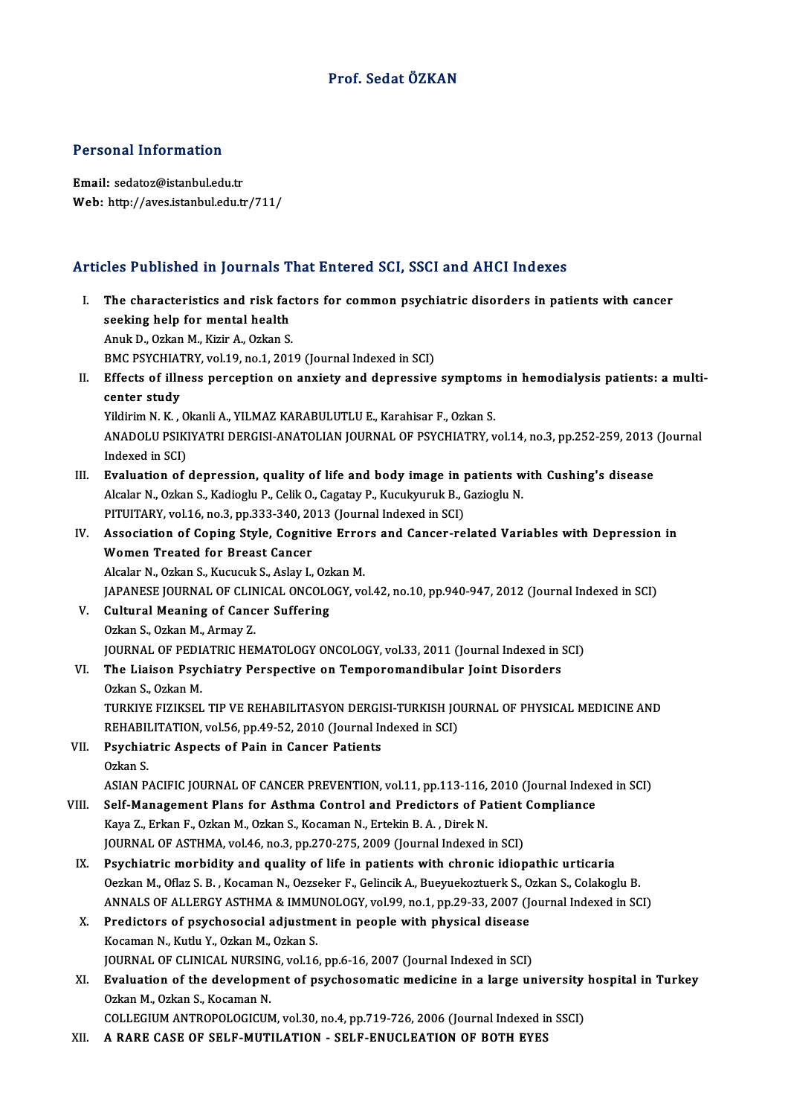# Prof. SedatÖZKAN

#### Personal Information

Email: sedatoz@istanbul.edu.tr Web: http://aves.istanbul.edu.tr/711/

# Articles Published in Journals That Entered SCI, SSCI and AHCI Indexes

rticles Published in Journals That Entered SCI, SSCI and AHCI Indexes<br>I. The characteristics and risk factors for common psychiatric disorders in patients with cancer<br>seeking help for mental health I. The characteristics and risk factors for common psychiatric disorders in patients with cancer seeking help for mental health AnukD.,OzkanM.,KizirA.,OzkanS. seeking help for mental health<br>Anuk D., Ozkan M., Kizir A., Ozkan S.<br>BMC PSYCHIATRY, vol.19, no.1, 2019 (Journal Indexed in SCI)<br>Effects of illness persention on anviety and depressive Anuk D., Ozkan M., Kizir A., Ozkan S.<br>I . BMC PSYCHIATRY, vol.19, no.1, 2019 (Journal Indexed in SCI)<br>II. Effects of illness perception on anxiety and depressive symptoms in hemodialysis patients: a multi-<br>contor study. BMC PSYCHIAT<br>Effects of illn<br>center study<br>Vildinim N-K Effects of illness perception on anxiety and depressive symptom<br>center study<br>Yildirim N. K. , Okanli A., YILMAZ KARABULUTLU E., Karahisar F., Ozkan S.<br>ANADOLU BSIKIVATRI DERGISLANATOLIAN JOURNAL OF BSYCHIATRY .. center study<br>Yildirim N. K. , Okanli A., YILMAZ KARABULUTLU E., Karahisar F., Ozkan S.<br>ANADOLU PSIKIYATRI DERGISI-ANATOLIAN JOURNAL OF PSYCHIATRY, vol.14, no.3, pp.252-259, 2013 (Journal<br>Indexed in SCI) Yildirim N. K., Okanli A., YILMAZ KARABULUTLU E., Karahisar F., Ozkan S. ANADOLU PSIKIYATRI DERGISI-ANATOLIAN JOURNAL OF PSYCHIATRY, vol.14, no.3, pp.252-259, 2013<br>Indexed in SCI)<br>III. Evaluation of depression, quality of life and body image in patients with Cushing's disease Indexed in SCI)<br>**Evaluation of depression, quality of life and body image in patients w<br>Alcalar N., Ozkan S., Kadioglu P., Celik O., Cagatay P., Kucukyuruk B., Gazioglu N.<br>PITUITARY vol 16, no 3, np 322, 240, 2012 (Journal** Evaluation of depression, quality of life and body image in p<br>Alcalar N., Ozkan S., Kadioglu P., Celik O., Cagatay P., Kucukyuruk B., (<br>PITUITARY, vol.16, no.3, pp.333-340, 2013 (Journal Indexed in SCI)<br>Association of Coni Alcalar N., Ozkan S., Kadioglu P., Celik O., Cagatay P., Kucukyuruk B., Gazioglu N.<br>PITUITARY, vol.16, no.3, pp.333-340, 2013 (Journal Indexed in SCI)<br>IV. Association of Coping Style, Cognitive Errors and Cancer-related Va PITUITARY, vol.16, no.3, pp.333-340, 20<br>Association of Coping Style, Cognit<br>Women Treated for Breast Cancer Association of Coping Style, Cognitive Errol<br>Women Treated for Breast Cancer<br>Alcalar N., Ozkan S., Kucucuk S., Aslay I., Ozkan M.<br>JARANESE JOURNAL OF CLINICAL ONCOLOCY VO JAPANESE JOURNAL OF CLINICAL ONCOLOGY, vol.42, no.10, pp.940-947, 2012 (Journal Indexed in SCI)<br>V. Cultural Meaning of Cancer Suffering Alcalar N., Ozkan S., Kucucuk S., Aslay I., Oz<br>JAPANESE JOURNAL OF CLINICAL ONCOLO<br>V. Cultural Meaning of Cancer Suffering<br>Ozkan S. Ozkan M. Armay 7 OzkanS.,OzkanM.,ArmayZ. Cultural Meaning of Cancer Suffering<br>Ozkan S., Ozkan M., Armay Z.<br>JOURNAL OF PEDIATRIC HEMATOLOGY ONCOLOGY, vol.33, 2011 (Journal Indexed in SCI)<br>The Lisison Peychistry Perspective on Temperemendibular Joint Diserders VI. The Liaison Psychiatry Perspective on Temporomandibular Joint Disorders **JOURNAL OF PEDL<br>The Liaison Psyc<br>Ozkan S., Ozkan M.<br>TURKIVE EIZIKSEL** The Liaison Psychiatry Perspective on Temporomandibular Joint Disorders<br>Ozkan S., Ozkan M.<br>TURKIYE FIZIKSEL TIP VE REHABILITASYON DERGISI-TURKISH JOURNAL OF PHYSICAL MEDICINE AND<br>REHABILITATION vel 56 nn 40 52 2010 (Journa Ozkan S., Ozkan M.<br>TURKIYE FIZIKSEL TIP VE REHABILITASYON DERGISI-TURKISH JO<br>REHABILITATION, vol.56, pp.49-52, 2010 (Journal Indexed in SCI)<br>Revehiatrie Aspects of Rein in Canser Betients TURKIYE FIZIKSEL TIP VE REHABILITASYON DERGI:<br>REHABILITATION, vol.56, pp.49-52, 2010 (Journal In<br>VII. Psychiatric Aspects of Pain in Cancer Patients REHABII<br>Psychia<br>Ozkan S. Psychiatric Aspects of Pain in Cancer Patients<br>Ozkan S.<br>ASIAN PACIFIC JOURNAL OF CANCER PREVENTION, vol.11, pp.113-116, 2010 (Journal Indexed in SCI)<br>Self Management Plans for Asthme Control and Prodistors of Patient Compl Ozkan S.<br>ASIAN PACIFIC JOURNAL OF CANCER PREVENTION, vol.11, pp.113-116, 2010 (Journal Index<br>VIII. Self-Management Plans for Asthma Control and Predictors of Patient Compliance<br>Vava Z. Frian E. Orian M. Orian S. Vessman N. ASIAN PACIFIC JOURNAL OF CANCER PREVENTION, vol.11, pp.113-116,<br>Self-Management Plans for Asthma Control and Predictors of P:<br>Kaya Z., Erkan F., Ozkan M., Ozkan S., Kocaman N., Ertekin B. A. , Direk N.<br>JOUPMAL OF ASTUMA .v Self-Management Plans for Asthma Control and Predictors of Patient<br>Kaya Z., Erkan F., Ozkan M., Ozkan S., Kocaman N., Ertekin B. A. , Direk N.<br>JOURNAL OF ASTHMA, vol.46, no.3, pp.270-275, 2009 (Journal Indexed in SCI)<br>Paya Kaya Z., Erkan F., Ozkan M., Ozkan S., Kocaman N., Ertekin B. A., Direk N.<br>JOURNAL OF ASTHMA, vol.46, no.3, pp.270-275, 2009 (Journal Indexed in SCI)<br>IX. Psychiatric morbidity and quality of life in patients with chronic i JOURNAL OF ASTHMA, vol.46, no.3, pp.270-275, 2009 (Journal Indexed in SCI)<br>Psychiatric morbidity and quality of life in patients with chronic idiopathic urticaria<br>Oezkan M., Oflaz S. B. , Kocaman N., Oezseker F., Gelincik Psychiatric morbidity and quality of life in patients with chronic idiopathic urticaria<br>Oezkan M., Oflaz S. B. , Kocaman N., Oezseker F., Gelincik A., Bueyuekoztuerk S., Ozkan S., Colakoglu B.<br>ANNALS OF ALLERGY ASTHMA & IM Oezkan M., Oflaz S. B. , Kocaman N., Oezseker F., Gelincik A., Bueyuekoztuerk S., Ozkan S., Colakoglu B.<br>ANNALS OF ALLERGY ASTHMA & IMMUNOLOGY, vol.99, no.1, pp.29-33, 2007 (Journal Indexed in SC<br>X. Predictors of psychosoc ANNALS OF ALLERGY ASTHMA & IMMUNOLOGY, vol.99, no.1, pp.29-33, 2007 (Journal Indexed in SCI) Predictors of psychosocial adjustment in people with physical disease<br>Kocaman N., Kutlu Y., Ozkan M., Ozkan S.<br>JOURNAL OF CLINICAL NURSING, vol.16, pp.6-16, 2007 (Journal Indexed in SCI)<br>Evaluation of the development of pe XI. Evaluation of the development of psychosomatic medicine in a large university hospital in Turkey Ozkan M., Ozkan S., Kocaman N. **JOURNAL OF CLINICAL NURSIN<br>Evaluation of the developme**<br>Ozkan M., Ozkan S., Kocaman N.<br>COLLECUIM ANTROPOLOCICUM Evaluation of the development of psychosomatic medicine in a large university<br>Ozkan M., Ozkan S., Kocaman N.<br>COLLEGIUM ANTROPOLOGICUM, vol.30, no.4, pp.719-726, 2006 (Journal Indexed in SSCI)<br>A BABE CASE OF SELE MUTU ATION Ozkan M., Ozkan S., Kocaman N.<br>COLLEGIUM ANTROPOLOGICUM, vol.30, no.4, pp.719-726, 2006 (Journal Indexed in<br>XII. A RARE CASE OF SELF-MUTILATION - SELF-ENUCLEATION OF BOTH EYES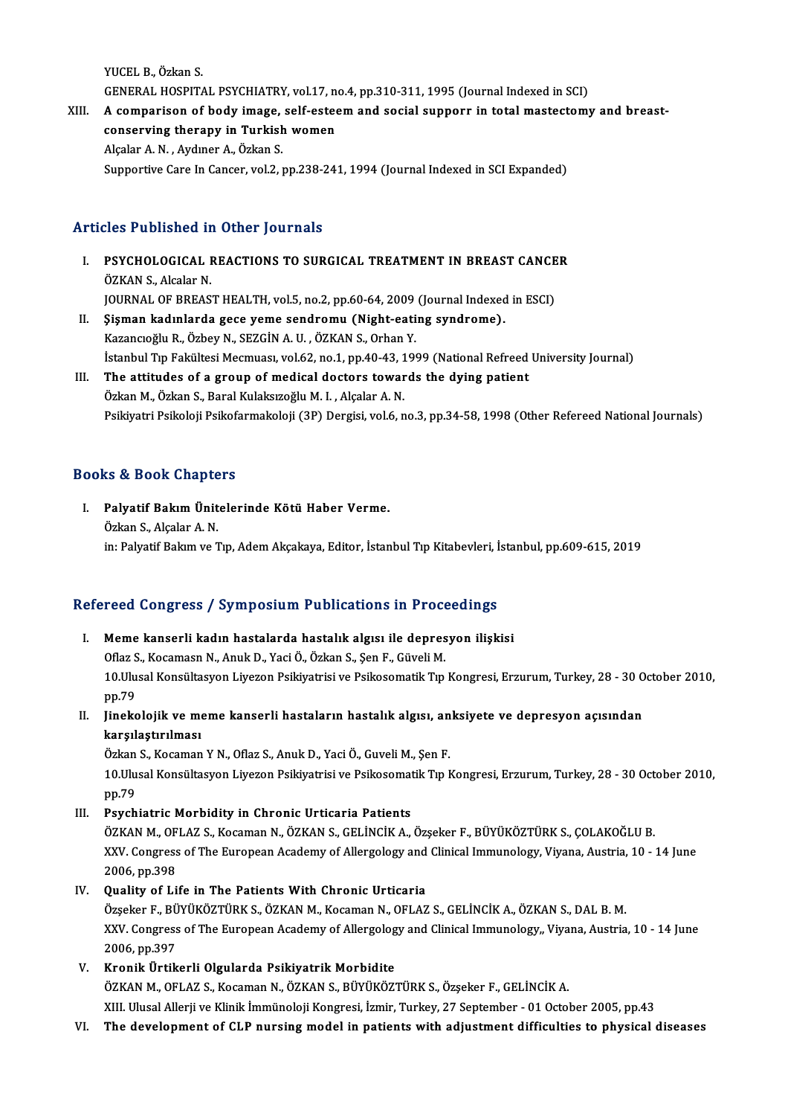YUCEL B., Özkan S. YUCEL B., Özkan S.<br>GENERAL HOSPITAL PSYCHIATRY, vol.17, no.4, pp.310-311, 1995 (Journal Indexed in SCI)<br>A composison of body image, self esteem and easiel supposs in total mastestemy

YUCEL B., Özkan S.<br>GENERAL HOSPITAL PSYCHIATRY, vol.17, no.4, pp.310-311, 1995 (Journal Indexed in SCI)<br>XIII. A comparison of body image, self-esteem and social supporr in total mastectomy and breast-<br>conserving thereous i GENERAL HOSPITAL PSYCHIATRY, vol.17, not comparison of body image, self-ested<br>conserving therapy in Turkish women XIII. A comparison of body image, self-esteem and social supporr in total mastectomy and breast-<br>conserving therapy in Turkish women<br>Alçalar A.N., Aydıner A., Özkan S. Supportive Care In Cancer, vol.2, pp.238-241, 1994 (Journal Indexed in SCI Expanded)

# Articles Published in Other Journals

rticles Published in Other Journals<br>I. PSYCHOLOGICAL REACTIONS TO SURGICAL TREATMENT IN BREAST CANCER MOST ABHBHOATH<br>PSYCHOLOGICAL I<br>ÖZKAN S., Alcalar N.<br>JOUPMAL OF PREAS PSYCHOLOGICAL REACTIONS TO SURGICAL TREATMENT IN BREAST CANCE<br>ÖZKAN S., Alcalar N.<br>JOURNAL OF BREAST HEALTH, vol.5, no.2, pp.60-64, 2009 (Journal Indexed in ESCI)<br>Sigman Indunlanda 5000 yamo sandromu (Night eating sundromo ÖZKAN S., Alcalar N.<br>JOURNAL OF BREAST HEALTH, vol.5, no.2, pp.60-64, 2009 (Journal Indexed<br>II. Sişman kadınlarda gece yeme sendromu (Night-eating syndrome).<br>Karangağlu B. Örbey N. SEZCİN A. H. ÖZKAN S. Orben V. JOURNAL OF BREAST HEALTH, vol.5, no.2, pp.60-64, 2009<br>Şişman kadınlarda gece yeme sendromu (Night-eati<br>Kazancıoğlu R., Özbey N., SEZGİN A. U. , ÖZKAN S., Orhan Y.<br>İstanbul Tın Falültesi Mesmuası vol.62 no.1, nn.40,42, 199 II. Şişman kadınlarda gece yeme sendromu (Night-eating syndrome).<br>Kazancıoğlu R., Özbey N., SEZGİN A. U. , ÖZKAN S., Orhan Y.<br>İstanbul Tıp Fakültesi Mecmuası, vol.62, no.1, pp.40-43, 1999 (National Refreed University Journ

# III. The attitudes of a group of medical doctors towards the dying patient Özkan M., Özkan S., Baral Kulaksızoğlu M. I., Alçalar A. N. Psikiyatri Psikoloji Psikofarmakoloji (3P) Dergisi, vol.6, no.3, pp.34-58, 1998 (Other Refereed National Journals)

# Books&Book Chapters

ooks & Book Chapters<br>I. Palyatif Bakım Ünitelerinde Kötü Haber Verme.<br>Öskan S. Alsalar A.N. to & Doort Grupes<br>Palyatif Bakım Ünit<br>Özkan S., Alçalar A. N. Özkan S., Alçalar A. N.<br>in: Palyatif Bakım ve Tıp, Adem Akçakaya, Editor, İstanbul Tıp Kitabevleri, İstanbul, pp.609-615, 2019

# Refereed Congress / Symposium Publications in Proceedings

- I. Meme kanserli kadın hastalarda hastalık algısı ile depresyon ilişkisi Neme kanserli kadın hastalarda hastalık algısı ile depres<br>Oflaz S., Kocamasn N., Anuk D., Yaci Ö., Özkan S., Şen F., Güveli M.<br>10 Ulusal Konsültasyon Liveren Bailtiyatrisi ve Bailtesematik Tın 10.Ulusal Konsültasyon Liyezon Psikiyatrisi ve Psikosomatik Tıp Kongresi, Erzurum, Turkey, 28 - 30 October 2010,<br>pp.79 Oflaz S<br>10.Ulu<br>pp.79<br>Unaks 10.Ulusal Konsültasyon Liyezon Psikiyatrisi ve Psikosomatik Tıp Kongresi, Erzurum, Turkey, 28 - 30 0<br>pp.79<br>II. Jinekolojik ve meme kanserli hastaların hastalık algısı, anksiyete ve depresyon açısından<br>karsılastırılması
- pp.79<br>Jinekolojik ve me<br>karşılaştırılması<br>Örkan S. Kosaman Jinekolojik ve meme kanserli hastaların hastalık algısı, an<br>karşılaştırılması<br>Özkan S., Kocaman Y N., Oflaz S., Anuk D., Yaci Ö., Guveli M., Şen F.<br>10 Ulusal Konsültasyon Liveren Belkiyatrisi ve Belkesematik T.n k

karşılaştırılması<br>Özkan S., Kocaman Y N., Oflaz S., Anuk D., Yaci Ö., Guveli M., Şen F.<br>10.Ulusal Konsültasyon Liyezon Psikiyatrisi ve Psikosomatik Tıp Kongresi, Erzurum, Turkey, 28 - 30 October 2010,<br>nn 79 Özkan<br>10 Ulu<br>pp.79<br>Bayeb pp.79<br>III. Psychiatric Morbidity in Chronic Urticaria Patients

pp.79<br><mark>Psychiatric Morbidity in Chronic Urticaria Patients</mark><br>ÖZKAN M., OFLAZ S., Kocaman N., ÖZKAN S., GELİNCİK A., Özşeker F., BÜYÜKÖZTÜRK S., ÇOLAKOĞLU B.<br>XXV. Congress ef The European Asademy ef Allerselegy and Clinisel Psychiatric Morbidity in Chronic Urticaria Patients<br>ÖZKAN M., OFLAZ S., Kocaman N., ÖZKAN S., GELİNCİK A., Özşeker F., BÜYÜKÖZTÜRK S., ÇOLAKOĞLU B.<br>XXV. Congress of The European Academy of Allergology and Clinical Immunolo ÖZKAN M., OF<br>XXV. Congress<br>2006, pp.398<br>Quality of Li XXV. Congress of The European Academy of Allergology and Clinical Immunology, Viyana, Austria, 10 - 14 June<br>2006, pp.398<br>IV. Quality of Life in The Patients With Chronic Urticaria

Özşeker F.,BÜYÜKÖZTÜRKS.,ÖZKANM.,KocamanN.,OFLAZ S.,GELİNCİKA.,ÖZKANS.,DALB.M. XXV. Congress of The European Academy of Allergology and Clinical Immunology,, Viyana, Austria, 10 - 14 June 2006,pp.397

V. Kronik Ürtikerli Olgularda Psikiyatrik Morbidite

ÖZKAN M., OFLAZ S., Kocaman N., ÖZKAN S., BÜYÜKÖZTÜRK S., Özşeker F., GELİNCİK A. XIII. Ulusal Allerji ve Klinik İmmünoloji Kongresi, İzmir, Turkey, 27 September - 01 October 2005, pp.43

VI. The development of CLP nursingmodel in patients with adjustment difficulties to physical diseases